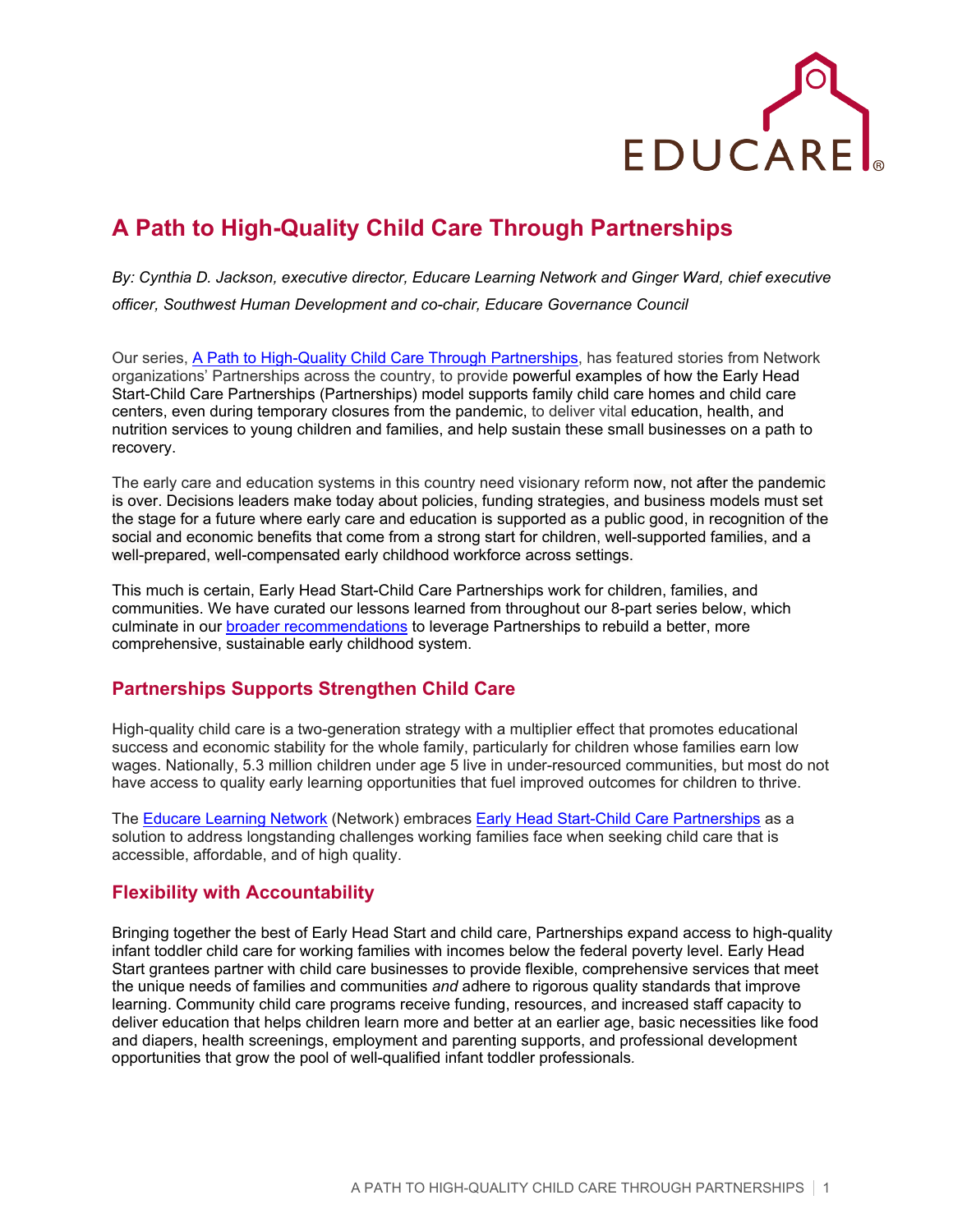

# **A Path to High-Quality Child Care Through Partnerships**

*By: Cynthia D. Jackson, executive director, Educare Learning Network and Ginger Ward, chief executive officer, Southwest Human Development and co-chair, Educare Governance Council*

Our series, [A Path to High-Quality Child Care Through Partnerships,](https://www.educareschools.org/ehs-ccp-series/) has featured stories from Network organizations' Partnerships across the country, to provide powerful examples of how the Early Head Start-Child Care Partnerships (Partnerships) model supports family child care homes and child care centers, even during temporary closures from the pandemic, to deliver vital education, health, and nutrition services to young children and families, and help sustain these small businesses on a path to recovery.

The early care and education systems in this country need visionary reform now, not after the pandemic is over. Decisions leaders make today about policies, funding strategies, and business models must set the stage for a future where early care and education is supported as a public good, in recognition of the social and economic benefits that come from a strong start for children, well-supported families, and a well-prepared, well-compensated early childhood workforce across settings.

This much is certain, Early Head Start-Child Care Partnerships work for children, families, and communities. We have curated our lessons learned from throughout our 8-part series below, which culminate in our [broader recommendations](#page-1-0) to leverage Partnerships to rebuild a better, more comprehensive, sustainable early childhood system.

### **Partnerships Supports Strengthen Child Care**

High-quality child care is a two-generation strategy with a multiplier effect that promotes educational success and economic stability for the whole family, particularly for children whose families earn low wages. Nationally, 5.3 million children under age 5 live in under-resourced communities, but most do not have access to quality early learning opportunities that fuel improved outcomes for children to thrive.

The [Educare Learning Network](https://www.educareschools.org/) (Network) embraces [Early Head Start-Child Care Partnerships](https://www.acf.hhs.gov/ecd/early-learning/ehs-cc-partnerships) as a solution to address longstanding challenges working families face when seeking child care that is accessible, affordable, and of high quality.

#### **Flexibility with Accountability**

Bringing together the best of Early Head Start and child care, Partnerships expand access to high-quality infant toddler child care for working families with incomes below the federal poverty level. Early Head Start grantees partner with child care businesses to provide flexible, comprehensive services that meet the unique needs of families and communities *and* adhere to rigorous quality standards that improve learning. Community child care programs receive funding, resources, and increased staff capacity to deliver education that helps children learn more and better at an earlier age, basic necessities like food and diapers, health screenings, employment and parenting supports, and professional development opportunities that grow the pool of well-qualified infant toddler professionals*.*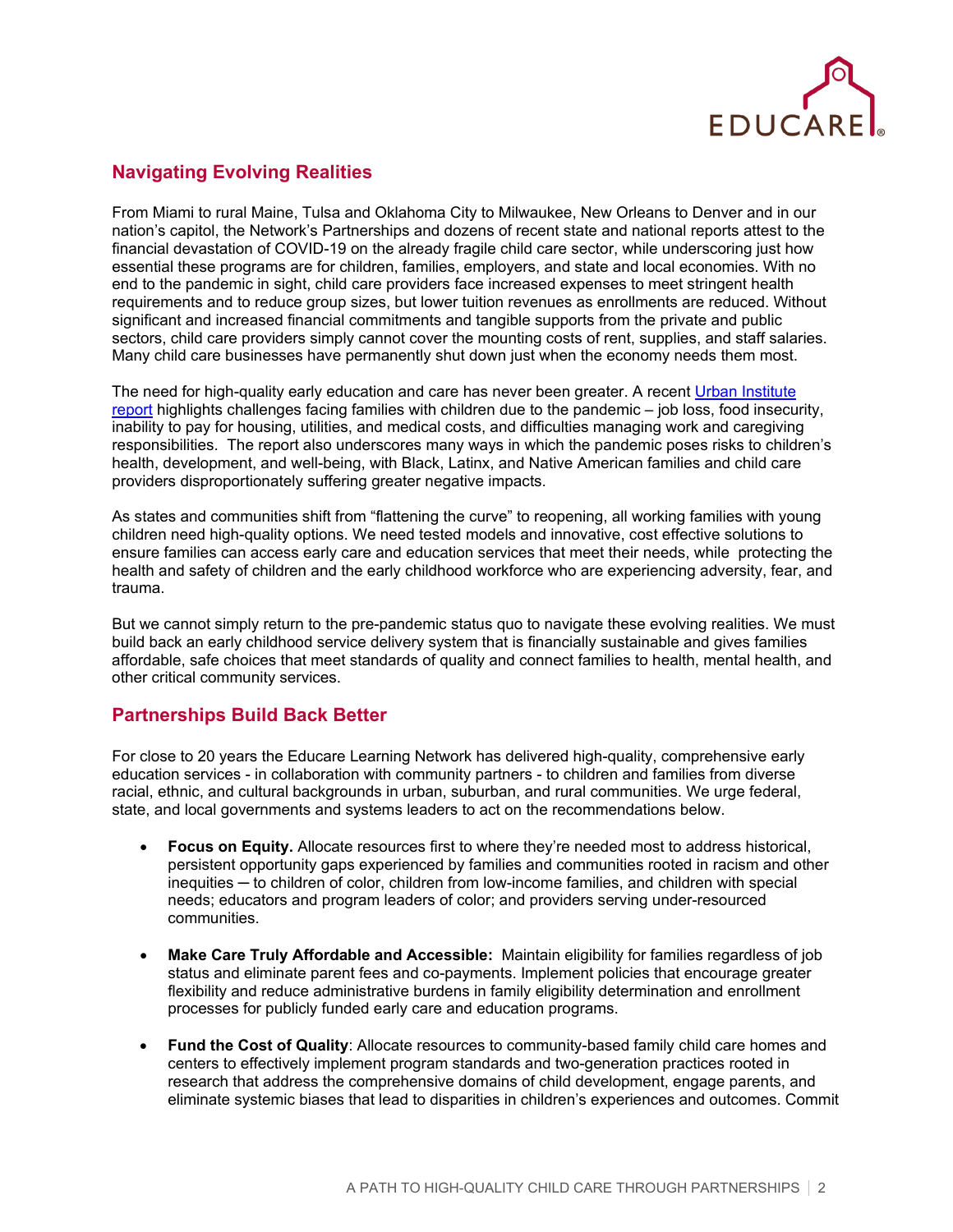

## **Navigating Evolving Realities**

From Miami to rural Maine, Tulsa and Oklahoma City to Milwaukee, New Orleans to Denver and in our nation's capitol, the Network's Partnerships and dozens of recent state and national reports attest to the financial devastation of COVID-19 on the already fragile child care sector, while underscoring just how essential these programs are for children, families, employers, and state and local economies. With no end to the pandemic in sight, child care providers face increased expenses to meet stringent health requirements and to reduce group sizes, but lower tuition revenues as enrollments are reduced. Without significant and increased financial commitments and tangible supports from the private and public sectors, child care providers simply cannot cover the mounting costs of rent, supplies, and staff salaries. Many child care businesses have permanently shut down just when the economy needs them most.

The need for high-quality early education and care has never been greater. A recent [Urban Institute](https://www.urban.org/research/publication/parents-are-struggling-provide-their-families-during-pandemic?utm_source=urban_researcher&utm_medium=email&utm_campaign=covid_parents&utm_term=lhp)  [report](https://www.urban.org/research/publication/parents-are-struggling-provide-their-families-during-pandemic?utm_source=urban_researcher&utm_medium=email&utm_campaign=covid_parents&utm_term=lhp) highlights challenges facing families with children due to the pandemic – job loss, food insecurity, inability to pay for housing, utilities, and medical costs, and difficulties managing work and caregiving responsibilities. The report also underscores many ways in which the pandemic poses risks to children's health, development, and well-being, with Black, Latinx, and Native American families and child care providers disproportionately suffering greater negative impacts.

As states and communities shift from "flattening the curve" to reopening, all working families with young children need high-quality options. We need tested models and innovative, cost effective solutions to ensure families can access early care and education services that meet their needs, while protecting the health and safety of children and the early childhood workforce who are experiencing adversity, fear, and trauma.

But we cannot simply return to the pre-pandemic status quo to navigate these evolving realities. We must build back an early childhood service delivery system that is financially sustainable and gives families affordable, safe choices that meet standards of quality and connect families to health, mental health, and other critical community services.

#### **Partnerships Build Back Better**

For close to 20 years the Educare Learning Network has delivered high-quality, comprehensive early education services - in collaboration with community partners - to children and families from diverse racial, ethnic, and cultural backgrounds in urban, suburban, and rural communities. We urge federal, state, and local governments and systems leaders to act on the recommendations below.

- <span id="page-1-0"></span>• **Focus on Equity.** Allocate resources first to where they're needed most to address historical, persistent opportunity gaps experienced by families and communities rooted in racism and other inequities ─ to children of color, children from low-income families, and children with special needs; educators and program leaders of color; and providers serving under-resourced communities.
- **Make Care Truly Affordable and Accessible:** Maintain eligibility for families regardless of job status and eliminate parent fees and co-payments. Implement policies that encourage greater flexibility and reduce administrative burdens in family eligibility determination and enrollment processes for publicly funded early care and education programs.
- **Fund the Cost of Quality**: Allocate resources to community-based family child care homes and centers to effectively implement program standards and two-generation practices rooted in research that address the comprehensive domains of child development, engage parents, and eliminate systemic biases that lead to disparities in children's experiences and outcomes. Commit